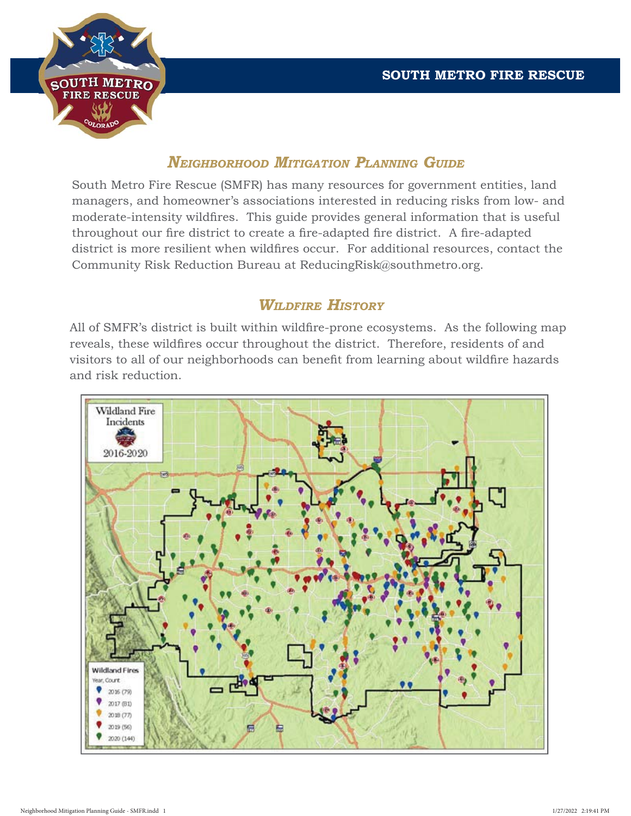

### *NEIGHBORHOOD MITIGATION PLANNING GUIDE*

South Metro Fire Rescue (SMFR) has many resources for government entities, land managers, and homeowner's associations interested in reducing risks from low- and moderate-intensity wildfires. This guide provides general information that is useful throughout our fire district to create a fire-adapted fire district. A fire-adapted district is more resilient when wildfires occur. For additional resources, contact the Community Risk Reduction Bureau at ReducingRisk@southmetro.org.

## *WILDFIRE HISTORY*

All of SMFR's district is built within wildfire-prone ecosystems. As the following map reveals, these wildfires occur throughout the district. Therefore, residents of and visitors to all of our neighborhoods can benefit from learning about wildfire hazards and risk reduction.

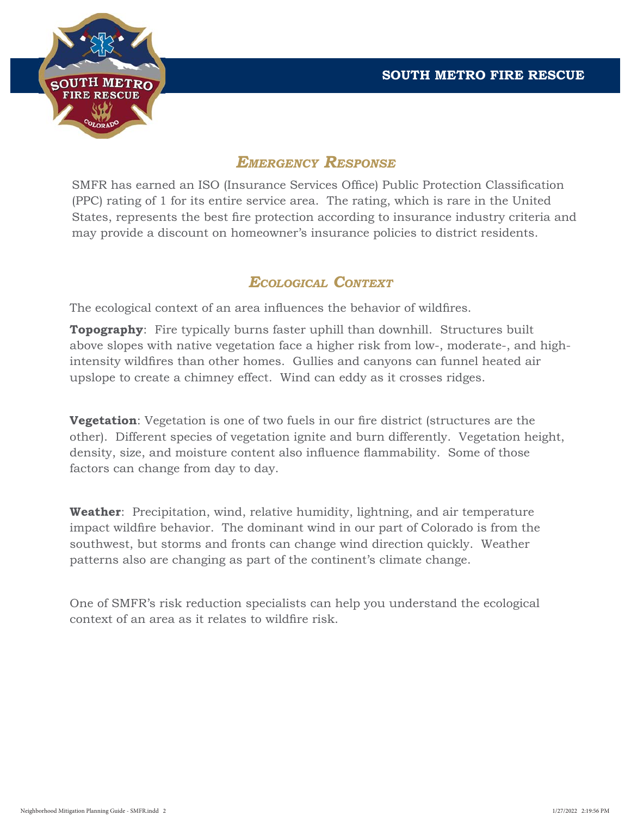

# *EMERGENCY RESPONSE*

SMFR has earned an ISO (Insurance Services Office) Public Protection Classification (PPC) rating of 1 for its entire service area. The rating, which is rare in the United States, represents the best fire protection according to insurance industry criteria and may provide a discount on homeowner's insurance policies to district residents.

### *ECOLOGICAL CONTEXT*

The ecological context of an area influences the behavior of wildfires.

**Topography**: Fire typically burns faster uphill than downhill. Structures built above slopes with native vegetation face a higher risk from low-, moderate-, and highintensity wildfires than other homes. Gullies and canyons can funnel heated air upslope to create a chimney effect. Wind can eddy as it crosses ridges.

**Vegetation**: Vegetation is one of two fuels in our fire district (structures are the other). Different species of vegetation ignite and burn differently. Vegetation height, density, size, and moisture content also influence flammability. Some of those factors can change from day to day.

**Weather**: Precipitation, wind, relative humidity, lightning, and air temperature impact wildfire behavior. The dominant wind in our part of Colorado is from the southwest, but storms and fronts can change wind direction quickly. Weather patterns also are changing as part of the continent's climate change.

One of SMFR's risk reduction specialists can help you understand the ecological context of an area as it relates to wildfire risk.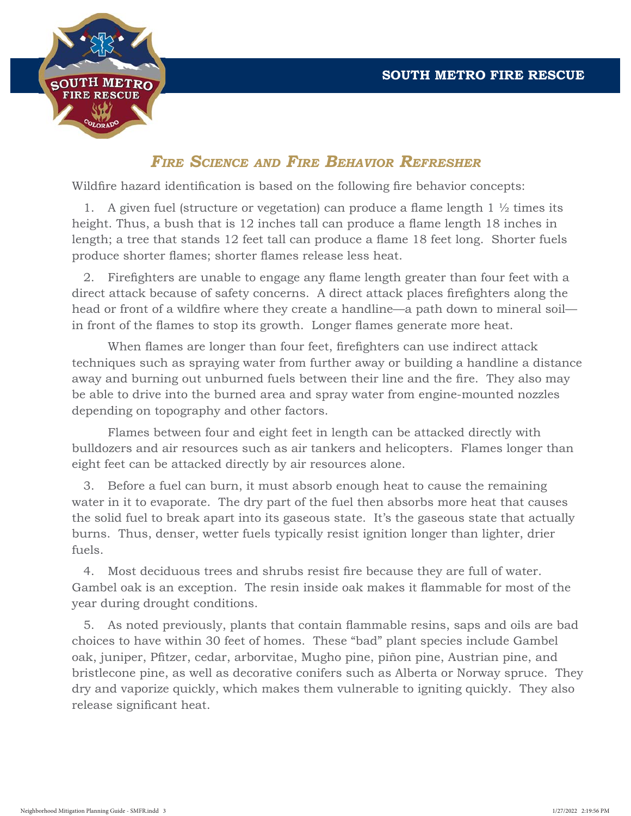

# *FIRE SCIENCE AND FIRE BEHAVIOR REFRESHER*

Wildfire hazard identification is based on the following fire behavior concepts:

1. A given fuel (structure or vegetation) can produce a flame length  $1 \frac{1}{2}$  times its height. Thus, a bush that is 12 inches tall can produce a flame length 18 inches in length; a tree that stands 12 feet tall can produce a flame 18 feet long. Shorter fuels produce shorter flames; shorter flames release less heat.

2. Firefighters are unable to engage any flame length greater than four feet with a direct attack because of safety concerns. A direct attack places firefighters along the head or front of a wildfire where they create a handline—a path down to mineral soil in front of the flames to stop its growth. Longer flames generate more heat.

When flames are longer than four feet, firefighters can use indirect attack techniques such as spraying water from further away or building a handline a distance away and burning out unburned fuels between their line and the fire. They also may be able to drive into the burned area and spray water from engine-mounted nozzles depending on topography and other factors.

 Flames between four and eight feet in length can be attacked directly with bulldozers and air resources such as air tankers and helicopters. Flames longer than eight feet can be attacked directly by air resources alone.

 3. Before a fuel can burn, it must absorb enough heat to cause the remaining water in it to evaporate. The dry part of the fuel then absorbs more heat that causes the solid fuel to break apart into its gaseous state. It's the gaseous state that actually burns. Thus, denser, wetter fuels typically resist ignition longer than lighter, drier fuels.

4. Most deciduous trees and shrubs resist fire because they are full of water. Gambel oak is an exception. The resin inside oak makes it flammable for most of the year during drought conditions.

5. As noted previously, plants that contain flammable resins, saps and oils are bad choices to have within 30 feet of homes. These "bad" plant species include Gambel oak, juniper, Pfitzer, cedar, arborvitae, Mugho pine, piñon pine, Austrian pine, and bristlecone pine, as well as decorative conifers such as Alberta or Norway spruce. They dry and vaporize quickly, which makes them vulnerable to igniting quickly. They also release significant heat.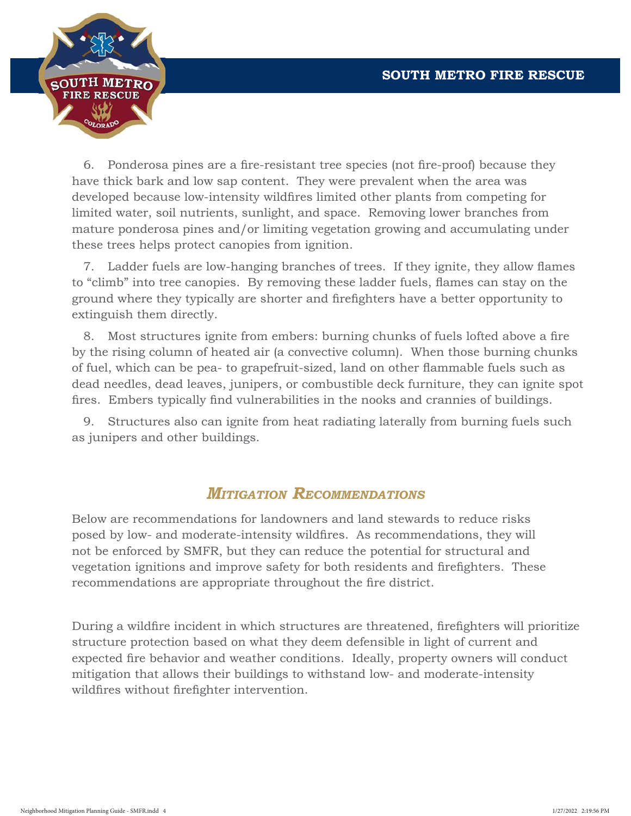

6. Ponderosa pines are a fire-resistant tree species (not fire-proof) because they have thick bark and low sap content. They were prevalent when the area was developed because low-intensity wildfires limited other plants from competing for limited water, soil nutrients, sunlight, and space. Removing lower branches from mature ponderosa pines and/or limiting vegetation growing and accumulating under these trees helps protect canopies from ignition.

7. Ladder fuels are low-hanging branches of trees. If they ignite, they allow flames to "climb" into tree canopies. By removing these ladder fuels, flames can stay on the ground where they typically are shorter and firefighters have a better opportunity to extinguish them directly.

8. Most structures ignite from embers: burning chunks of fuels lofted above a fire by the rising column of heated air (a convective column). When those burning chunks of fuel, which can be pea- to grapefruit-sized, land on other flammable fuels such as dead needles, dead leaves, junipers, or combustible deck furniture, they can ignite spot fires. Embers typically find vulnerabilities in the nooks and crannies of buildings.

 9. Structures also can ignite from heat radiating laterally from burning fuels such as junipers and other buildings.

### *MITIGATION RECOMMENDATIONS*

Below are recommendations for landowners and land stewards to reduce risks posed by low- and moderate-intensity wildfires. As recommendations, they will not be enforced by SMFR, but they can reduce the potential for structural and vegetation ignitions and improve safety for both residents and firefighters. These recommendations are appropriate throughout the fire district.

During a wildfire incident in which structures are threatened, firefighters will prioritize structure protection based on what they deem defensible in light of current and expected fire behavior and weather conditions. Ideally, property owners will conduct mitigation that allows their buildings to withstand low- and moderate-intensity wildfires without firefighter intervention.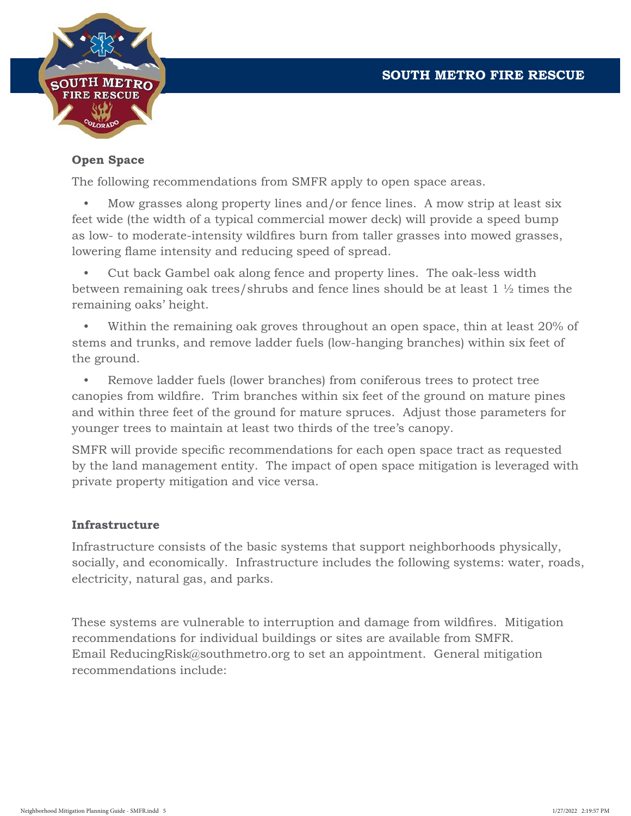

#### **Open Space**

The following recommendations from SMFR apply to open space areas.

 • Mow grasses along property lines and/or fence lines. A mow strip at least six feet wide (the width of a typical commercial mower deck) will provide a speed bump as low- to moderate-intensity wildfires burn from taller grasses into mowed grasses, lowering flame intensity and reducing speed of spread.

 • Cut back Gambel oak along fence and property lines. The oak-less width between remaining oak trees/shrubs and fence lines should be at least 1 ½ times the remaining oaks' height.

 • Within the remaining oak groves throughout an open space, thin at least 20% of stems and trunks, and remove ladder fuels (low-hanging branches) within six feet of the ground.

 • Remove ladder fuels (lower branches) from coniferous trees to protect tree canopies from wildfire. Trim branches within six feet of the ground on mature pines and within three feet of the ground for mature spruces. Adjust those parameters for younger trees to maintain at least two thirds of the tree's canopy.

SMFR will provide specific recommendations for each open space tract as requested by the land management entity. The impact of open space mitigation is leveraged with private property mitigation and vice versa.

#### **Infrastructure**

Infrastructure consists of the basic systems that support neighborhoods physically, socially, and economically. Infrastructure includes the following systems: water, roads, electricity, natural gas, and parks.

These systems are vulnerable to interruption and damage from wildfires. Mitigation recommendations for individual buildings or sites are available from SMFR. Email ReducingRisk@southmetro.org to set an appointment. General mitigation recommendations include: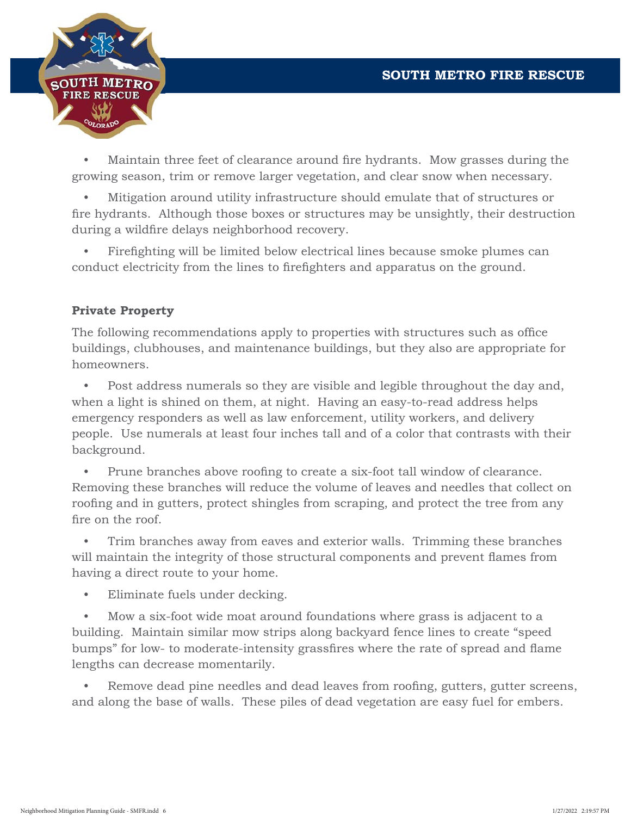

• Maintain three feet of clearance around fire hydrants. Mow grasses during the growing season, trim or remove larger vegetation, and clear snow when necessary.

 • Mitigation around utility infrastructure should emulate that of structures or fire hydrants. Although those boxes or structures may be unsightly, their destruction during a wildfire delays neighborhood recovery.

Firefighting will be limited below electrical lines because smoke plumes can conduct electricity from the lines to firefighters and apparatus on the ground.

#### **Private Property**

The following recommendations apply to properties with structures such as office buildings, clubhouses, and maintenance buildings, but they also are appropriate for homeowners.

 • Post address numerals so they are visible and legible throughout the day and, when a light is shined on them, at night. Having an easy-to-read address helps emergency responders as well as law enforcement, utility workers, and delivery people. Use numerals at least four inches tall and of a color that contrasts with their background.

Prune branches above roofing to create a six-foot tall window of clearance. Removing these branches will reduce the volume of leaves and needles that collect on roofing and in gutters, protect shingles from scraping, and protect the tree from any fire on the roof.

 • Trim branches away from eaves and exterior walls. Trimming these branches will maintain the integrity of those structural components and prevent flames from having a direct route to your home.

• Eliminate fuels under decking.

 • Mow a six-foot wide moat around foundations where grass is adjacent to a building. Maintain similar mow strips along backyard fence lines to create "speed bumps" for low- to moderate-intensity grassfires where the rate of spread and flame lengths can decrease momentarily.

Remove dead pine needles and dead leaves from roofing, gutters, gutter screens, and along the base of walls. These piles of dead vegetation are easy fuel for embers.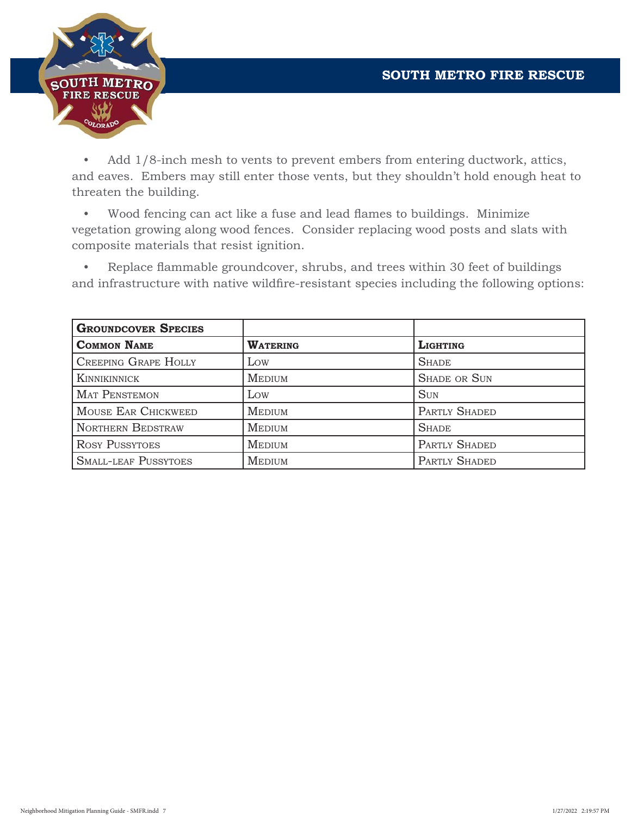

 • Add 1/8-inch mesh to vents to prevent embers from entering ductwork, attics, and eaves. Embers may still enter those vents, but they shouldn't hold enough heat to threaten the building.

• Wood fencing can act like a fuse and lead flames to buildings. Minimize vegetation growing along wood fences. Consider replacing wood posts and slats with composite materials that resist ignition.

• Replace flammable groundcover, shrubs, and trees within 30 feet of buildings and infrastructure with native wildfire-resistant species including the following options:

| <b>GROUNDCOVER SPECIES</b>  |                 |                     |
|-----------------------------|-----------------|---------------------|
| <b>COMMON NAME</b>          | <b>WATERING</b> | <b>LIGHTING</b>     |
| <b>CREEPING GRAPE HOLLY</b> | Low             | <b>SHADE</b>        |
| <b>KINNIKINNICK</b>         | <b>MEDIUM</b>   | <b>SHADE OR SUN</b> |
| <b>MAT PENSTEMON</b>        | Low             | <b>SUN</b>          |
| MOUSE EAR CHICKWEED         | <b>MEDIUM</b>   | PARTLY SHADED       |
| <b>NORTHERN BEDSTRAW</b>    | <b>MEDIUM</b>   | <b>SHADE</b>        |
| <b>ROSY PUSSYTOES</b>       | <b>MEDIUM</b>   | PARTLY SHADED       |
| <b>SMALL-LEAF PUSSYTOES</b> | <b>MEDIUM</b>   | PARTLY SHADED       |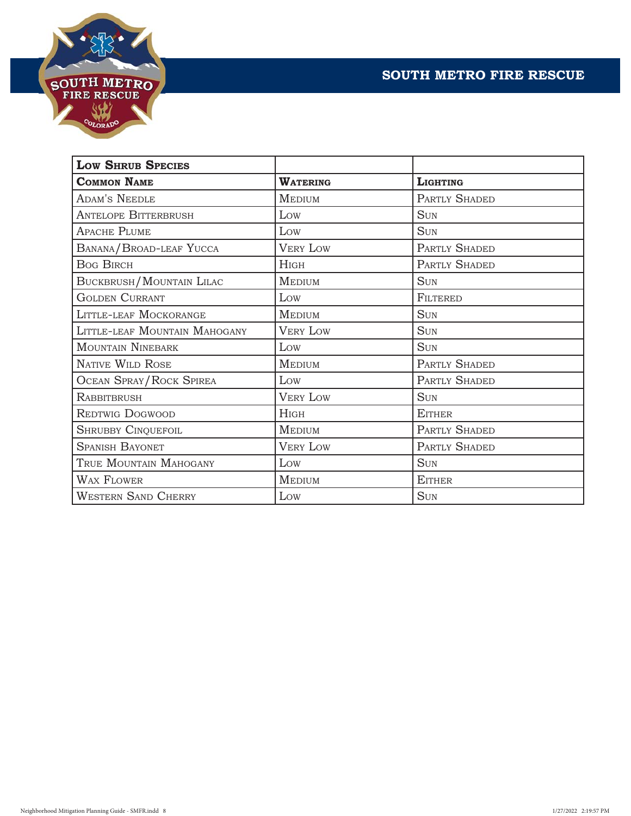



| <b>LOW SHRUB SPECIES</b>        |                 |                 |
|---------------------------------|-----------------|-----------------|
| <b>COMMON NAME</b>              | <b>WATERING</b> | <b>LIGHTING</b> |
| <b>ADAM'S NEEDLE</b>            | <b>MEDIUM</b>   | PARTLY SHADED   |
| <b>ANTELOPE BITTERBRUSH</b>     | Low             | <b>SUN</b>      |
| <b>APACHE PLUME</b>             | Low             | <b>SUN</b>      |
| BANANA/BROAD-LEAF YUCCA         | <b>VERY LOW</b> | PARTLY SHADED   |
| <b>Bog BIRCH</b>                | HIGH            | PARTLY SHADED   |
| <b>BUCKBRUSH/MOUNTAIN LILAC</b> | <b>MEDIUM</b>   | <b>SUN</b>      |
| <b>GOLDEN CURRANT</b>           | Low             | FILTERED        |
| LITTLE-LEAF MOCKORANGE          | <b>MEDIUM</b>   | <b>SUN</b>      |
| LITTLE-LEAF MOUNTAIN MAHOGANY   | <b>VERY LOW</b> | <b>SUN</b>      |
| <b>MOUNTAIN NINEBARK</b>        | Low             | <b>SUN</b>      |
| <b>NATIVE WILD ROSE</b>         | <b>MEDIUM</b>   | PARTLY SHADED   |
| <b>OCEAN SPRAY/ROCK SPIREA</b>  | Low             | PARTLY SHADED   |
| <b>RABBITBRUSH</b>              | <b>VERY LOW</b> | <b>SUN</b>      |
| <b>REDTWIG DOGWOOD</b>          | <b>HIGH</b>     | <b>EITHER</b>   |
| <b>SHRUBBY CINQUEFOIL</b>       | <b>MEDIUM</b>   | PARTLY SHADED   |
| <b>SPANISH BAYONET</b>          | <b>VERY LOW</b> | PARTLY SHADED   |
| TRUE MOUNTAIN MAHOGANY          | Low             | <b>SUN</b>      |
| <b>WAX FLOWER</b>               | <b>MEDIUM</b>   | <b>EITHER</b>   |
| <b>WESTERN SAND CHERRY</b>      | Low             | <b>SUN</b>      |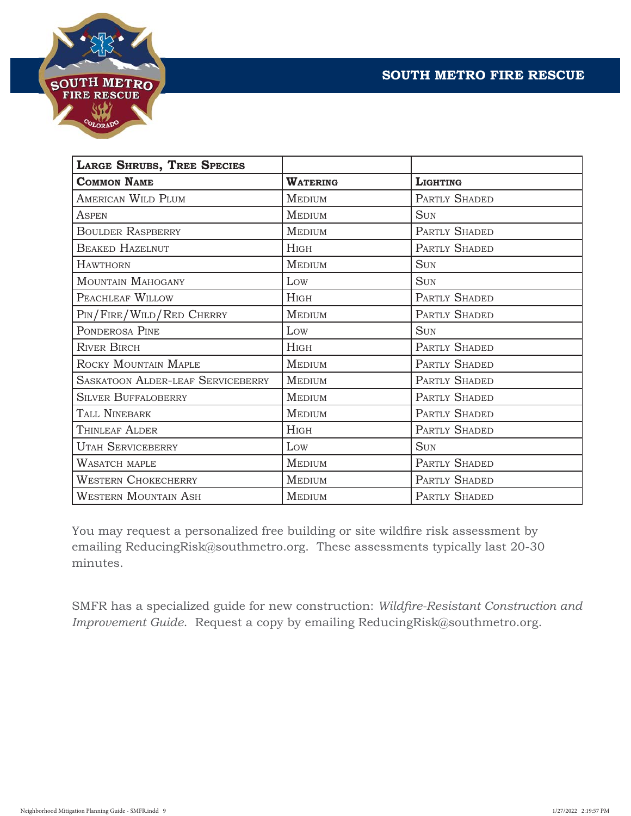



| <b>LARGE SHRUBS, TREE SPECIES</b>        |                 |                 |
|------------------------------------------|-----------------|-----------------|
| <b>COMMON NAME</b>                       | <b>WATERING</b> | <b>LIGHTING</b> |
| <b>AMERICAN WILD PLUM</b>                | <b>MEDIUM</b>   | PARTLY SHADED   |
| <b>ASPEN</b>                             | <b>MEDIUM</b>   | <b>SUN</b>      |
| <b>BOULDER RASPBERRY</b>                 | <b>MEDIUM</b>   | PARTLY SHADED   |
| <b>BEAKED HAZELNUT</b>                   | <b>HIGH</b>     | PARTLY SHADED   |
| <b>HAWTHORN</b>                          | <b>MEDIUM</b>   | <b>SUN</b>      |
| MOUNTAIN MAHOGANY                        | Low             | <b>SUN</b>      |
| PEACHLEAF WILLOW                         | $H$ IGH         | PARTLY SHADED   |
| PIN/FIRE/WILD/RED CHERRY                 | <b>MEDIUM</b>   | PARTLY SHADED   |
| PONDEROSA PINE                           | Low             | <b>SUN</b>      |
| <b>RIVER BIRCH</b>                       | $H$ IGH         | PARTLY SHADED   |
| ROCKY MOUNTAIN MAPLE                     | <b>MEDIUM</b>   | PARTLY SHADED   |
| <b>SASKATOON ALDER-LEAF SERVICEBERRY</b> | <b>MEDIUM</b>   | PARTLY SHADED   |
| <b>SILVER BUFFALOBERRY</b>               | <b>MEDIUM</b>   | PARTLY SHADED   |
| TALL NINEBARK                            | <b>MEDIUM</b>   | PARTLY SHADED   |
| THINLEAF ALDER                           | $H$ IGH         | PARTLY SHADED   |
| <b>UTAH SERVICEBERRY</b>                 | Low             | <b>SUN</b>      |
| WASATCH MAPLE                            | <b>MEDIUM</b>   | PARTLY SHADED   |
| <b>WESTERN CHOKECHERRY</b>               | <b>MEDIUM</b>   | PARTLY SHADED   |
| <b>WESTERN MOUNTAIN ASH</b>              | <b>MEDIUM</b>   | PARTLY SHADED   |

You may request a personalized free building or site wildfire risk assessment by emailing ReducingRisk@southmetro.org. These assessments typically last 20-30 minutes.

SMFR has a specialized guide for new construction: *Wildfire-Resistant Construction and Improvement Guide*. Request a copy by emailing ReducingRisk@southmetro.org.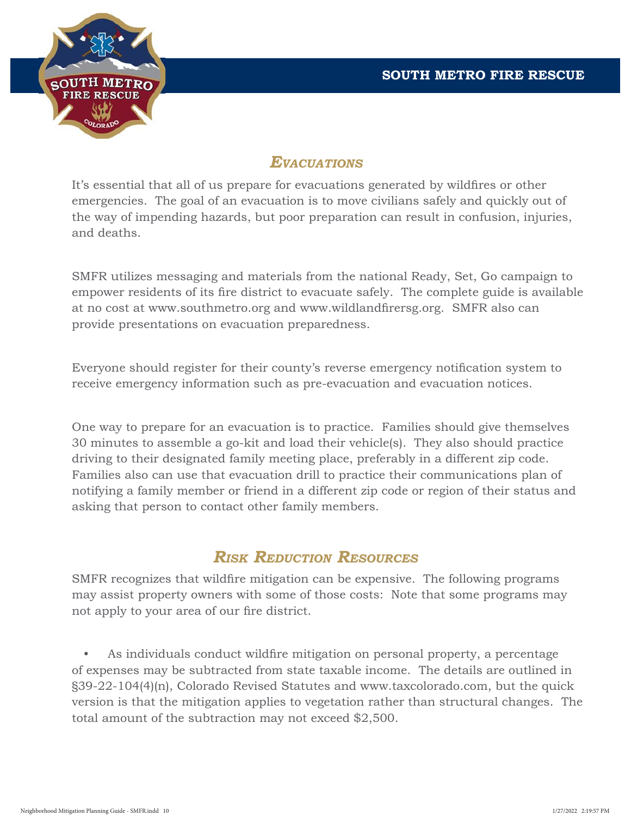

### *EVACUATIONS*

It's essential that all of us prepare for evacuations generated by wildfires or other emergencies. The goal of an evacuation is to move civilians safely and quickly out of the way of impending hazards, but poor preparation can result in confusion, injuries, and deaths.

SMFR utilizes messaging and materials from the national Ready, Set, Go campaign to empower residents of its fire district to evacuate safely. The complete guide is available at no cost at www.southmetro.org and www.wildlandfirersg.org. SMFR also can provide presentations on evacuation preparedness.

Everyone should register for their county's reverse emergency notification system to receive emergency information such as pre-evacuation and evacuation notices.

One way to prepare for an evacuation is to practice. Families should give themselves 30 minutes to assemble a go-kit and load their vehicle(s). They also should practice driving to their designated family meeting place, preferably in a different zip code. Families also can use that evacuation drill to practice their communications plan of notifying a family member or friend in a different zip code or region of their status and asking that person to contact other family members.

# *RISK REDUCTION RESOURCES*

SMFR recognizes that wildfire mitigation can be expensive. The following programs may assist property owners with some of those costs: Note that some programs may not apply to your area of our fire district.

As individuals conduct wildfire mitigation on personal property, a percentage of expenses may be subtracted from state taxable income. The details are outlined in §39-22-104(4)(n), Colorado Revised Statutes and www.taxcolorado.com, but the quick version is that the mitigation applies to vegetation rather than structural changes. The total amount of the subtraction may not exceed \$2,500.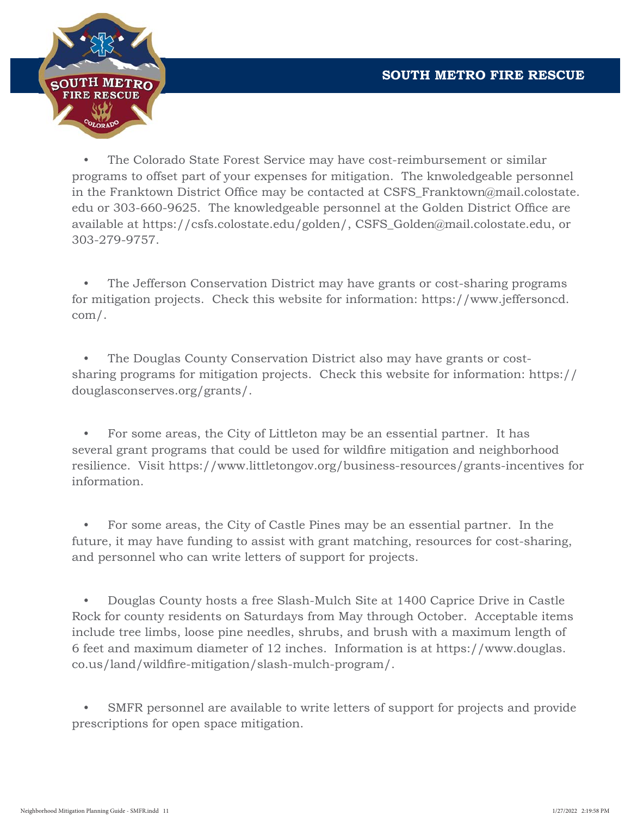

 • The Colorado State Forest Service may have cost-reimbursement or similar programs to offset part of your expenses for mitigation. The knwoledgeable personnel in the Franktown District Office may be contacted at CSFS\_Franktown@mail.colostate. edu or 303-660-9625. The knowledgeable personnel at the Golden District Office are available at https://csfs.colostate.edu/golden/, CSFS\_Golden@mail.colostate.edu, or 303-279-9757.

The Jefferson Conservation District may have grants or cost-sharing programs for mitigation projects. Check this website for information: https://www.jeffersoncd. com/.

 • The Douglas County Conservation District also may have grants or costsharing programs for mitigation projects. Check this website for information: https:// douglasconserves.org/grants/.

 • For some areas, the City of Littleton may be an essential partner. It has several grant programs that could be used for wildfire mitigation and neighborhood resilience. Visit https://www.littletongov.org/business-resources/grants-incentives for information.

 • For some areas, the City of Castle Pines may be an essential partner. In the future, it may have funding to assist with grant matching, resources for cost-sharing, and personnel who can write letters of support for projects.

 • Douglas County hosts a free Slash-Mulch Site at 1400 Caprice Drive in Castle Rock for county residents on Saturdays from May through October. Acceptable items include tree limbs, loose pine needles, shrubs, and brush with a maximum length of 6 feet and maximum diameter of 12 inches. Information is at https://www.douglas. co.us/land/wildfire-mitigation/slash-mulch-program/.

SMFR personnel are available to write letters of support for projects and provide prescriptions for open space mitigation.